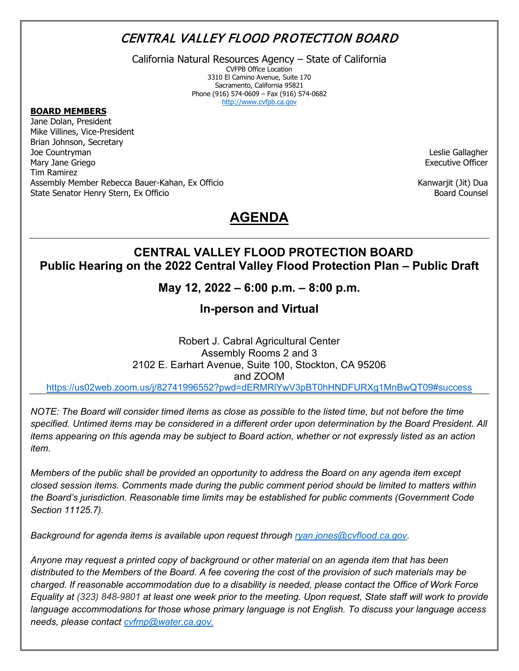# CENTRAL VALLEY FLOOD PROTECTION BOARD

California Natural Resources Agency – State of California

CVFPB Office Location 3310 El Camino Avenue, Suite 170 Sacramento, California 95821 Phone (916) 574-0609 – Fax (916) 574-0682 [http://www.cvfpb.ca.gov](http://www.cvfpb.ca.gov/)

#### **BOARD MEMBERS**

Jane Dolan, President Mike Villines, Vice-President Brian Johnson, Secretary Joe Countryman Mary Jane Griego Tim Ramirez Assembly Member Rebecca Bauer-Kahan, Ex Officio State Senator Henry Stern, Ex Officio

Leslie Gallagher Executive Officer

Kanwarjit (Jit) Dua Board Counsel

# **AGENDA**

## **CENTRAL VALLEY FLOOD PROTECTION BOARD Public Hearing on the 2022 Central Valley Flood Protection Plan – Public Draft**

**May 12, 2022 – 6:00 p.m. – 8:00 p.m.**

**In-person and Virtual**

Robert J. Cabral Agricultural Center Assembly Rooms 2 and 3 2102 E. Earhart Avenue, Suite 100, Stockton, CA 95206 and ZOOM <https://us02web.zoom.us/j/82741996552?pwd=dERMRlYwV3pBT0hHNDFURXg1MnBwQT09#success>

*NOTE: The Board will consider timed items as close as possible to the listed time, but not before the time specified. Untimed items may be considered in a different order upon determination by the Board President. All items appearing on this agenda may be subject to Board action, whether or not expressly listed as an action item.*

*Members of the public shall be provided an opportunity to address the Board on any agenda item except closed session items. Comments made during the public comment period should be limited to matters within the Board's jurisdiction. Reasonable time limits may be established for public comments (Government Code Section 11125.7).*

*Background for agenda items is available upon request through [ryan.jones@cvflood.ca.gov.](mailto:ryan.jones@cvflood.ca.gov)* 

*Anyone may request a printed copy of background or other material on an agenda item that has been distributed to the Members of the Board. A fee covering the cost of the provision of such materials may be charged. If reasonable accommodation due to a disability is needed, please contact the Office of Work Force Equality at (323) 848-9801 at least one week prior to the meeting. Upon request, State staff will work to provide language accommodations for those whose primary language is not English. To discuss your language access needs, please contact [cvfmp@water.ca.gov.](mailto:cvfmp@water.ca.gov)*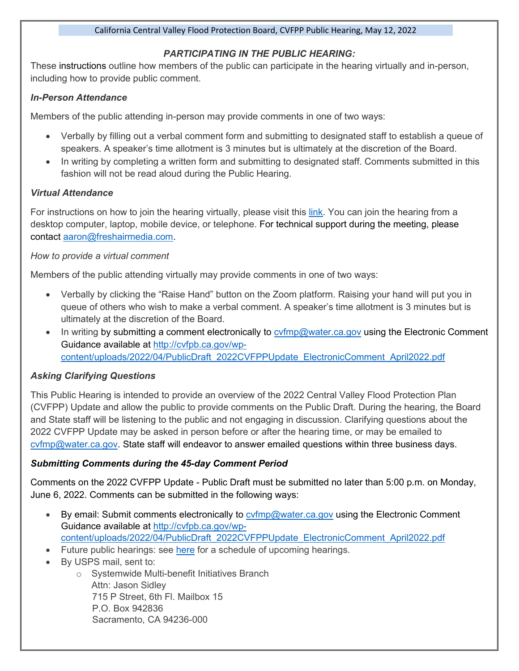#### California Central Valley Flood Protection Board, CVFPP Public Hearing, May 12, 2022

### *PARTICIPATING IN THE PUBLIC HEARING:*

These instructions outline how members of the public can participate in the hearing virtually and in-person, including how to provide public comment.

#### *In-Person Attendance*

Members of the public attending in-person may provide comments in one of two ways:

- Verbally by filling out a verbal comment form and submitting to designated staff to establish a queue of speakers. A speaker's time allotment is 3 minutes but is ultimately at the discretion of the Board.
- In writing by completing a written form and submitting to designated staff. Comments submitted in this fashion will not be read aloud during the Public Hearing.

### *Virtual Attendance*

For instructions on how to join the hearing virtually, please visit this [link.](https://www.cvfpbfloodplanhearings2022.org/) You can join the hearing from a desktop computer, laptop, mobile device, or telephone. For technical support during the meeting, please [contact](mailto:contact%E2%80%AFaaron@freshairmedia.com) [aaron@freshairmedia.com.](mailto:aaron@freshairmedia.com)

#### *How to provide a virtual comment*

Members of the public attending virtually may provide comments in one of two ways:

- Verbally by clicking the "Raise Hand" button on the Zoom platform. Raising your hand will put you in queue of others who wish to make a verbal comment. A speaker's time allotment is 3 minutes but is ultimately at the discretion of the Board.
- In writing by submitting a comment electronically to  $\frac{1}{2}$  cyfmp@water.ca.gov using the Electronic Comment Guidance available at [http://cvfpb.ca.gov/wp](http://cvfpb.ca.gov/wp-content/uploads/2022/04/PublicDraft_2022CVFPPUpdate_ElectronicComment_April2022.pdf)[content/uploads/2022/04/PublicDraft\\_2022CVFPPUpdate\\_ElectronicComment\\_April2022.pdf](http://cvfpb.ca.gov/wp-content/uploads/2022/04/PublicDraft_2022CVFPPUpdate_ElectronicComment_April2022.pdf)

### *Asking Clarifying Questions*

This Public Hearing is intended to provide an overview of the 2022 Central Valley Flood Protection Plan (CVFPP) Update and allow the public to provide comments on the Public Draft. During the hearing, the Board and State staff will be listening to the public and not engaging in discussion. Clarifying questions about the 2022 CVFPP Update may be asked in person before or after the hearing time, or may be emailed to [cvfmp@water.ca.gov.](mailto:cvfmp@water.ca.gov) State staff will endeavor to answer emailed questions within three business days.

### *Submitting Comments during the 45-day Comment Period*

Comments on the 2022 CVFPP Update - Public Draft must be submitted no later than 5:00 p.m. on Monday, June 6, 2022. Comments can be submitted in the following ways:

- By email: Submit comments electronically to [cvfmp@water.ca.gov](mailto:cvfmp@water.ca.gov) using the Electronic Comment Guidance available at [http://cvfpb.ca.gov/wp](http://cvfpb.ca.gov/wp-content/uploads/2022/04/PublicDraft_2022CVFPPUpdate_ElectronicComment_April2022.pdf)[content/uploads/2022/04/PublicDraft\\_2022CVFPPUpdate\\_ElectronicComment\\_April2022.pdf](http://cvfpb.ca.gov/wp-content/uploads/2022/04/PublicDraft_2022CVFPPUpdate_ElectronicComment_April2022.pdf)
- Future public hearings: see [here](https://www.cvfpbfloodplanhearings2022.org/) for a schedule of upcoming hearings.
- By USPS mail, sent to:
	- o Systemwide Multi-benefit Initiatives Branch Attn: Jason Sidley 715 P Street, 6th Fl. Mailbox 15 P.O. Box 942836 Sacramento, CA 94236-000